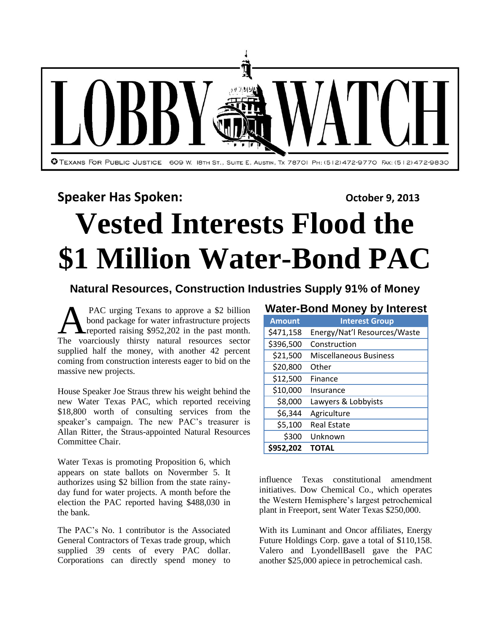

## **Speaker Has Spoken: Consultant Consultant Consultant Consultant Consultant Consultant Consultant Consultant Consultant Consultant Consultant Consultant Consultant Consultant Consultant Consultant Consultant Consultant C**

# **Vested Interests Flood the \$1 Million Water-Bond PAC**

### **Natural Resources, Construction Industries Supply 91% of Money**

PAC urging Texans to approve a \$2 billion bond package for water infrastructure projects **A**reported raising \$952,202 in the past month. PAC urging Texans to approve a \$2 billion<br>bond package for water infrastructure projects<br>reported raising \$952,202 in the past month.<br>The voarciously thirsty natural resources sector supplied half the money, with another 42 percent coming from construction interests eager to bid on the massive new projects.

House Speaker Joe Straus threw his weight behind the new Water Texas PAC, which reported receiving \$18,800 worth of consulting services from the speaker's campaign. The new PAC's treasurer is Allan Ritter, the Straus-appointed Natural Resources Committee Chair.

Water Texas is promoting Proposition 6, which appears on state ballots on Novermber 5. It authorizes using \$2 billion from the state rainyday fund for water projects. A month before the election the PAC reported having \$488,030 in the bank.

The PAC's No. 1 contributor is the Associated General Contractors of Texas trade group, which supplied 39 cents of every PAC dollar. Corporations can directly spend money to

#### **Water-Bond Money by Interest**

| <b>Amount</b> | <b>Interest Group</b>         |  |  |
|---------------|-------------------------------|--|--|
| \$471,158     | Energy/Nat'l Resources/Waste  |  |  |
| \$396,500     | Construction                  |  |  |
| \$21,500      | <b>Miscellaneous Business</b> |  |  |
| \$20,800      | Other                         |  |  |
| \$12,500      | Finance                       |  |  |
| \$10,000      | Insurance                     |  |  |
| \$8,000       | Lawyers & Lobbyists           |  |  |
| \$6,344       | Agriculture                   |  |  |
| \$5,100       | <b>Real Estate</b>            |  |  |
| \$300         | Unknown                       |  |  |
| \$952,202     | <b>TOTAL</b>                  |  |  |

influence Texas constitutional amendment initiatives. Dow Chemical Co., which operates the Western Hemisphere's largest petrochemical plant in Freeport, sent Water Texas \$250,000.

With its Luminant and Oncor affiliates, Energy Future Holdings Corp. gave a total of \$110,158. Valero and LyondellBasell gave the PAC another \$25,000 apiece in petrochemical cash.